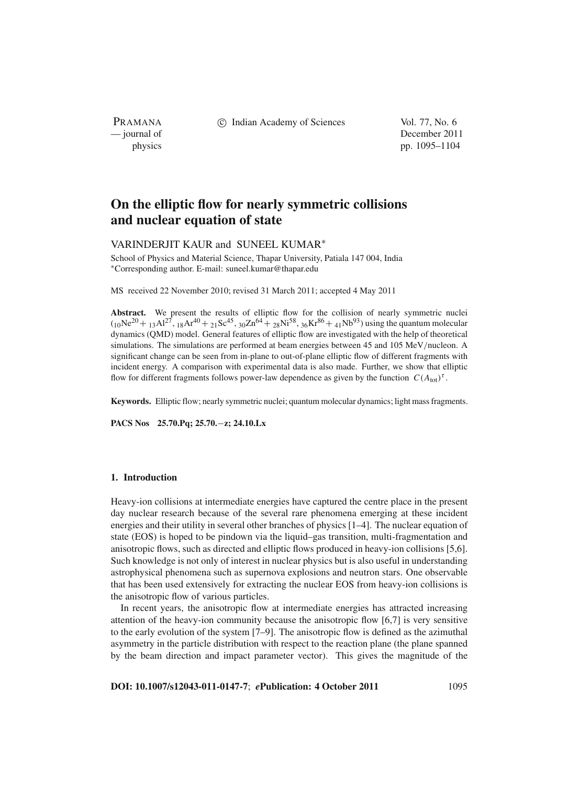PRAMANA

c Indian Academy of Sciences Vol. 77, No. 6

— journal of December 2011 physics pp. 1095–1104

# **On the elliptic flow for nearly symmetric collisions and nuclear equation of state**

# VARINDERJIT KAUR and SUNEEL KUMAR<sup>∗</sup>

School of Physics and Material Science, Thapar University, Patiala 147 004, India <sup>∗</sup>Corresponding author. E-mail: suneel.kumar@thapar.edu

MS received 22 November 2010; revised 31 March 2011; accepted 4 May 2011

Abstract. We present the results of elliptic flow for the collision of nearly symmetric nuclei  $(10Ne^{20} + 13A1^{27}, 18Ar^{40} + 21Sc^{45}, 30Zn^{64} + 28Ni^{58}, 36Kr^{86} + 41Nb^{93})$  using the quantum molecular dynamics (QMD) model. General features of elliptic flow are investigated with the help of theoretical simulations. The simulations are performed at beam energies between 45 and 105 MeV/nucleon. A significant change can be seen from in-plane to out-of-plane elliptic flow of different fragments with incident energy. A comparison with experimental data is also made. Further, we show that elliptic flow for different fragments follows power-law dependence as given by the function  $C(A_{\text{tot}})^{\tau}$ .

**Keywords.** Elliptic flow; nearly symmetric nuclei; quantum molecular dynamics; light mass fragments.

**PACS Nos 25.70.Pq; 25.70.**−**z; 24.10.Lx**

# **1. Introduction**

Heavy-ion collisions at intermediate energies have captured the centre place in the present day nuclear research because of the several rare phenomena emerging at these incident energies and their utility in several other branches of physics [1–4]. The nuclear equation of state (EOS) is hoped to be pindown via the liquid–gas transition, multi-fragmentation and anisotropic flows, such as directed and elliptic flows produced in heavy-ion collisions [5,6]. Such knowledge is not only of interest in nuclear physics but is also useful in understanding astrophysical phenomena such as supernova explosions and neutron stars. One observable that has been used extensively for extracting the nuclear EOS from heavy-ion collisions is the anisotropic flow of various particles.

In recent years, the anisotropic flow at intermediate energies has attracted increasing attention of the heavy-ion community because the anisotropic flow [6,7] is very sensitive to the early evolution of the system [7–9]. The anisotropic flow is defined as the azimuthal asymmetry in the particle distribution with respect to the reaction plane (the plane spanned by the beam direction and impact parameter vector). This gives the magnitude of the

**DOI: 10.1007/s12043-011-0147-7**; *e***Publication: 4 October 2011** 1095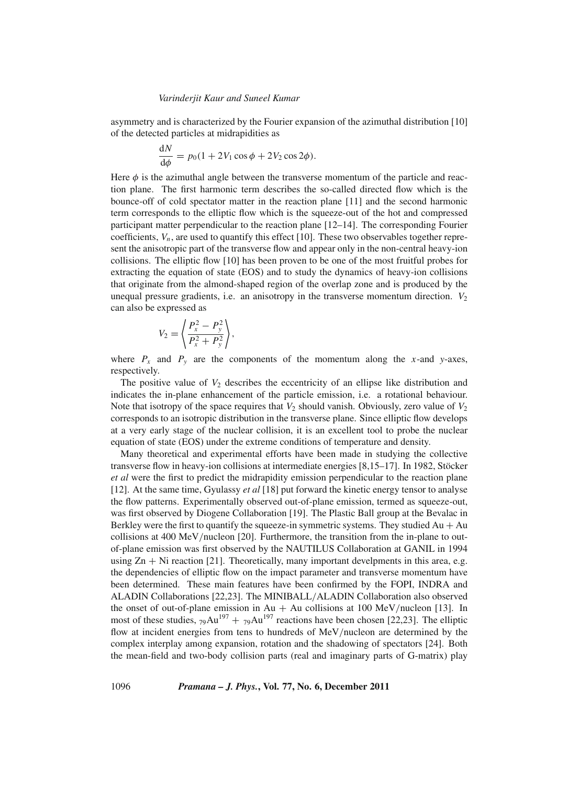asymmetry and is characterized by the Fourier expansion of the azimuthal distribution [10] of the detected particles at midrapidities as

$$
\frac{\mathrm{d}N}{\mathrm{d}\phi} = p_0(1 + 2V_1\cos\phi + 2V_2\cos 2\phi).
$$

Here  $\phi$  is the azimuthal angle between the transverse momentum of the particle and reaction plane. The first harmonic term describes the so-called directed flow which is the bounce-off of cold spectator matter in the reaction plane [11] and the second harmonic term corresponds to the elliptic flow which is the squeeze-out of the hot and compressed participant matter perpendicular to the reaction plane [12–14]. The corresponding Fourier coefficients,  $V_n$ , are used to quantify this effect [10]. These two observables together represent the anisotropic part of the transverse flow and appear only in the non-central heavy-ion collisions. The elliptic flow [10] has been proven to be one of the most fruitful probes for extracting the equation of state (EOS) and to study the dynamics of heavy-ion collisions that originate from the almond-shaped region of the overlap zone and is produced by the unequal pressure gradients, i.e. an anisotropy in the transverse momentum direction.  $V_2$ can also be expressed as

$$
V_2 = \left\langle \frac{P_x^2 - P_y^2}{P_x^2 + P_y^2} \right\rangle,
$$

where  $P_x$  and  $P_y$  are the components of the momentum along the *x*-and *y*-axes, respectively.

The positive value of  $V_2$  describes the eccentricity of an ellipse like distribution and indicates the in-plane enhancement of the particle emission, i.e. a rotational behaviour. Note that isotropy of the space requires that  $V_2$  should vanish. Obviously, zero value of  $V_2$ corresponds to an isotropic distribution in the transverse plane. Since elliptic flow develops at a very early stage of the nuclear collision, it is an excellent tool to probe the nuclear equation of state (EOS) under the extreme conditions of temperature and density.

Many theoretical and experimental efforts have been made in studying the collective transverse flow in heavy-ion collisions at intermediate energies [8,15–17]. In 1982, Stöcker *et al* were the first to predict the midrapidity emission perpendicular to the reaction plane [12]. At the same time, Gyulassy *et al* [18] put forward the kinetic energy tensor to analyse the flow patterns. Experimentally observed out-of-plane emission, termed as squeeze-out, was first observed by Diogene Collaboration [19]. The Plastic Ball group at the Bevalac in Berkley were the first to quantify the squeeze-in symmetric systems. They studied  $Au + Au$ collisions at 400 MeV/nucleon [20]. Furthermore, the transition from the in-plane to outof-plane emission was first observed by the NAUTILUS Collaboration at GANIL in 1994 using  $Zn + Ni$  reaction [21]. Theoretically, many important develpments in this area, e.g. the dependencies of elliptic flow on the impact parameter and transverse momentum have been determined. These main features have been confirmed by the FOPI, INDRA and ALADIN Collaborations [22,23]. The MINIBALL/ALADIN Collaboration also observed the onset of out-of-plane emission in Au + Au collisions at 100 MeV/nucleon [13]. In most of these studies,  $79\text{Au}^{197} + 79\text{Au}^{197}$  reactions have been chosen [22,23]. The elliptic flow at incident energies from tens to hundreds of MeV/nucleon are determined by the complex interplay among expansion, rotation and the shadowing of spectators [24]. Both the mean-field and two-body collision parts (real and imaginary parts of G-matrix) play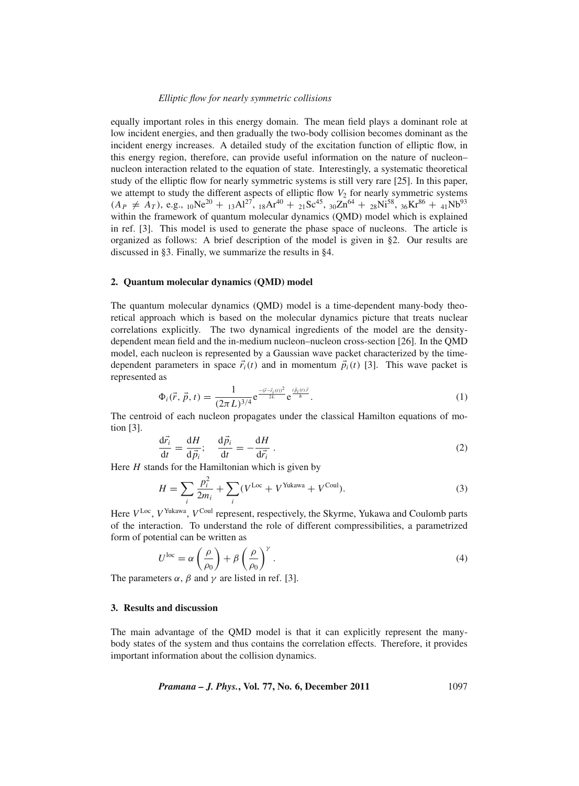equally important roles in this energy domain. The mean field plays a dominant role at low incident energies, and then gradually the two-body collision becomes dominant as the incident energy increases. A detailed study of the excitation function of elliptic flow, in this energy region, therefore, can provide useful information on the nature of nucleon– nucleon interaction related to the equation of state. Interestingly, a systematic theoretical study of the elliptic flow for nearly symmetric systems is still very rare [25]. In this paper, we attempt to study the different aspects of elliptic flow  $V_2$  for nearly symmetric systems  $(A_P \neq A_T)$ , e.g.,  $_{10}Ne^{20} + _{13}Al^{27}$ ,  $_{18}Ar^{40} + _{21}Sc^{45}$ ,  $_{30}Zn^{64} + _{28}Ni^{58}$ ,  $_{36}Kr^{86} + _{41}Nb^{93}$ within the framework of quantum molecular dynamics (QMD) model which is explained in ref. [3]. This model is used to generate the phase space of nucleons. The article is organized as follows: A brief description of the model is given in §2. Our results are discussed in §3. Finally, we summarize the results in §4.

#### **2. Quantum molecular dynamics (QMD) model**

The quantum molecular dynamics (QMD) model is a time-dependent many-body theoretical approach which is based on the molecular dynamics picture that treats nuclear correlations explicitly. The two dynamical ingredients of the model are the densitydependent mean field and the in-medium nucleon–nucleon cross-section [26]. In the QMD model, each nucleon is represented by a Gaussian wave packet characterized by the timedependent parameters in space  $\vec{r}_i(t)$  and in momentum  $\vec{p}_i(t)$  [3]. This wave packet is represented as

$$
\Phi_i(\vec{r}, \vec{p}, t) = \frac{1}{(2\pi L)^{3/4}} e^{\frac{-(\vec{r} - \vec{r}_i(t))^2}{2L}} e^{\frac{i\vec{p}_i(t)\vec{r}}{\hbar}}.
$$
\n(1)

The centroid of each nucleon propagates under the classical Hamilton equations of motion [3].

$$
\frac{d\vec{r}_i}{dt} = \frac{dH}{d\vec{p}_i}; \quad \frac{d\vec{p}_i}{dt} = -\frac{dH}{d\vec{r}_i} \,. \tag{2}
$$

Here *H* stands for the Hamiltonian which is given by

$$
H = \sum_{i} \frac{p_i^2}{2m_i} + \sum_{i} (V^{\text{Loc}} + V^{\text{Yukawa}} + V^{\text{Coul}}).
$$
 (3)

Here  $V^{\text{Loc}}$ ,  $V^{\text{Yukawa}}$ ,  $V^{\text{Coul}}$  represent, respectively, the Skyrme, Yukawa and Coulomb parts of the interaction. To understand the role of different compressibilities, a parametrized form of potential can be written as

$$
U^{\text{loc}} = \alpha \left(\frac{\rho}{\rho_0}\right) + \beta \left(\frac{\rho}{\rho_0}\right)^{\gamma}.
$$
 (4)

The parameters  $\alpha$ ,  $\beta$  and  $\gamma$  are listed in ref. [3].

## **3. Results and discussion**

The main advantage of the QMD model is that it can explicitly represent the manybody states of the system and thus contains the correlation effects. Therefore, it provides important information about the collision dynamics.

*Pramana – J. Phys.***, Vol. 77, No. 6, December 2011** 1097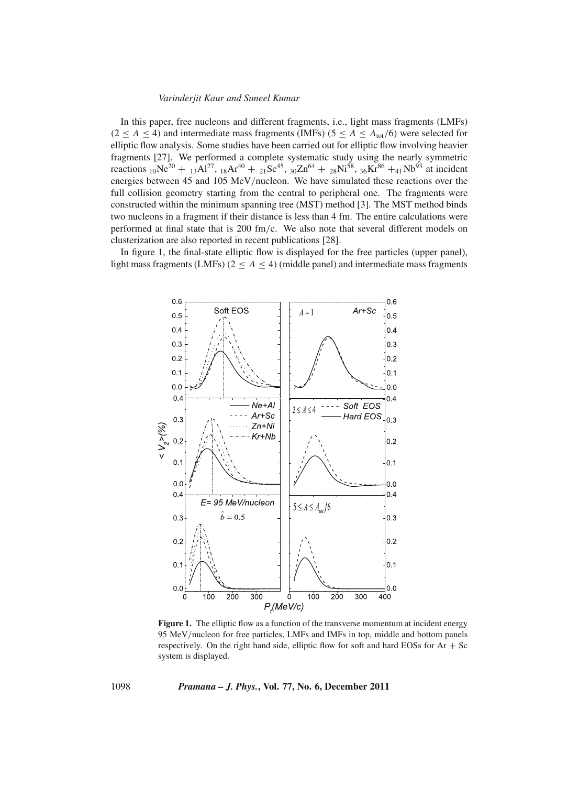In this paper, free nucleons and different fragments, i.e., light mass fragments (LMFs)  $(2 \le A \le 4)$  and intermediate mass fragments (IMFs)  $(5 \le A \le A_{\text{tot}}/6)$  were selected for elliptic flow analysis. Some studies have been carried out for elliptic flow involving heavier fragments [27]. We performed a complete systematic study using the nearly symmetric reactions <sub>10</sub>Ne<sup>20</sup> + <sub>13</sub>Al<sup>27</sup>, <sub>18</sub>Ar<sup>40</sup> + <sub>21</sub>Sc<sup>45</sup>, <sub>30</sub>Zn<sup>64</sup> + <sub>28</sub>Ni<sup>58</sup>, <sub>36</sub>Kr<sup>86</sup> +<sub>41</sub>Nb<sup>93</sup> at incident energies between 45 and 105 MeV/nucleon. We have simulated these reactions over the full collision geometry starting from the central to peripheral one. The fragments were constructed within the minimum spanning tree (MST) method [3]. The MST method binds two nucleons in a fragment if their distance is less than 4 fm. The entire calculations were performed at final state that is 200 fm/c. We also note that several different models on clusterization are also reported in recent publications [28].

In figure 1, the final-state elliptic flow is displayed for the free particles (upper panel), light mass fragments (LMFs) ( $2 \leq A \leq 4$ ) (middle panel) and intermediate mass fragments



Figure 1. The elliptic flow as a function of the transverse momentum at incident energy 95 MeV/nucleon for free particles, LMFs and IMFs in top, middle and bottom panels respectively. On the right hand side, elliptic flow for soft and hard EOSs for  $Ar + Sc$ system is displayed.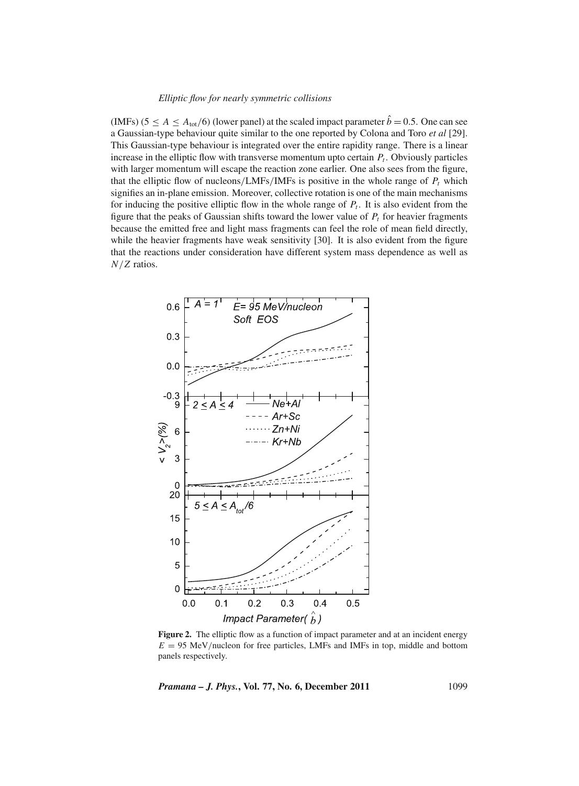(IMFs) ( $5 \le A \le A_{\text{tot}}/6$ ) (lower panel) at the scaled impact parameter  $\hat{b} = 0.5$ . One can see a Gaussian-type behaviour quite similar to the one reported by Colona and Toro *et al* [29]. This Gaussian-type behaviour is integrated over the entire rapidity range. There is a linear increase in the elliptic flow with transverse momentum upto certain  $P_t$ . Obviously particles with larger momentum will escape the reaction zone earlier. One also sees from the figure, that the elliptic flow of nucleons/LMFs/IMFs is positive in the whole range of  $P_t$  which signifies an in-plane emission. Moreover, collective rotation is one of the main mechanisms for inducing the positive elliptic flow in the whole range of  $P_t$ . It is also evident from the figure that the peaks of Gaussian shifts toward the lower value of  $P_t$  for heavier fragments because the emitted free and light mass fragments can feel the role of mean field directly, while the heavier fragments have weak sensitivity [30]. It is also evident from the figure that the reactions under consideration have different system mass dependence as well as *N*/*Z* ratios.



Figure 2. The elliptic flow as a function of impact parameter and at an incident energy  $E = 95$  MeV/nucleon for free particles, LMFs and IMFs in top, middle and bottom panels respectively.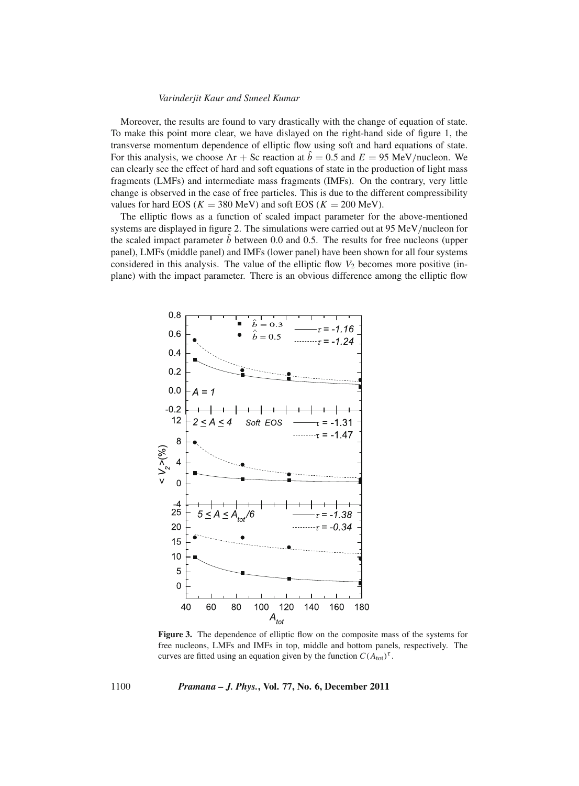Moreover, the results are found to vary drastically with the change of equation of state. To make this point more clear, we have dislayed on the right-hand side of figure 1, the transverse momentum dependence of elliptic flow using soft and hard equations of state. For this analysis, we choose  $Ar + Sc$  reaction at  $\hat{b} = 0.5$  and  $E = 95$  MeV/nucleon. We can clearly see the effect of hard and soft equations of state in the production of light mass fragments (LMFs) and intermediate mass fragments (IMFs). On the contrary, very little change is observed in the case of free particles. This is due to the different compressibility values for hard EOS ( $K = 380$  MeV) and soft EOS ( $K = 200$  MeV).

The elliptic flows as a function of scaled impact parameter for the above-mentioned systems are displayed in figure 2. The simulations were carried out at 95 MeV/nucleon for the scaled impact parameter  $\hat{b}$  between 0.0 and 0.5. The results for free nucleons (upper panel), LMFs (middle panel) and IMFs (lower panel) have been shown for all four systems considered in this analysis. The value of the elliptic flow  $V_2$  becomes more positive (inplane) with the impact parameter. There is an obvious difference among the elliptic flow



Figure 3. The dependence of elliptic flow on the composite mass of the systems for free nucleons, LMFs and IMFs in top, middle and bottom panels, respectively. The curves are fitted using an equation given by the function  $C(A_{\text{tot}})^{\tau}$ .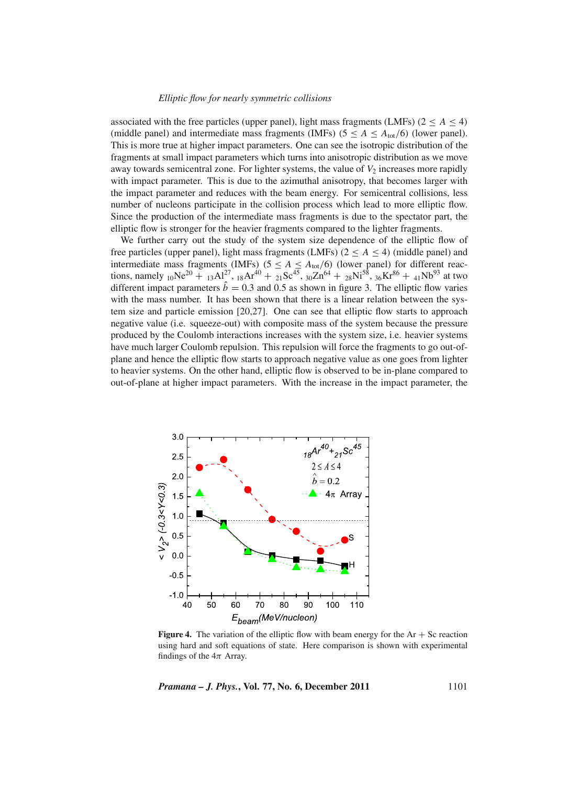#### *Elliptic flow for nearly symmetric collisions*

associated with the free particles (upper panel), light mass fragments (LMFs) ( $2 \le A \le 4$ ) (middle panel) and intermediate mass fragments (IMFs) ( $5 \le A \le A_{\text{tot}}/6$ ) (lower panel). This is more true at higher impact parameters. One can see the isotropic distribution of the fragments at small impact parameters which turns into anisotropic distribution as we move away towards semicentral zone. For lighter systems, the value of  $V_2$  increases more rapidly with impact parameter. This is due to the azimuthal anisotropy, that becomes larger with the impact parameter and reduces with the beam energy. For semicentral collisions, less number of nucleons participate in the collision process which lead to more elliptic flow. Since the production of the intermediate mass fragments is due to the spectator part, the elliptic flow is stronger for the heavier fragments compared to the lighter fragments.

We further carry out the study of the system size dependence of the elliptic flow of free particles (upper panel), light mass fragments (LMFs) ( $2 \le A \le 4$ ) (middle panel) and intermediate mass fragments (IMFs) ( $5 \le A \le A_{\text{tot}}/6$ ) (lower panel) for different reactions, namely  $_{10}Ne^{20}$  +  $_{13}Al^{27}$ ,  $_{18}Ar^{40}$  +  $_{21}Sc^{45}$ ,  $_{30}Zn^{64}$  +  $_{28}Ni^{58}$ ,  $_{36}Kr^{86}$  +  $_{41}Nb^{93}$  at two different impact parameters  $\dot{b} = 0.3$  and 0.5 as shown in figure 3. The elliptic flow varies with the mass number. It has been shown that there is a linear relation between the system size and particle emission [20,27]. One can see that elliptic flow starts to approach negative value (i.e. squeeze-out) with composite mass of the system because the pressure produced by the Coulomb interactions increases with the system size, i.e. heavier systems have much larger Coulomb repulsion. This repulsion will force the fragments to go out-ofplane and hence the elliptic flow starts to approach negative value as one goes from lighter to heavier systems. On the other hand, elliptic flow is observed to be in-plane compared to out-of-plane at higher impact parameters. With the increase in the impact parameter, the



**Figure 4.** The variation of the elliptic flow with beam energy for the  $Ar + Sc$  reaction using hard and soft equations of state. Here comparison is shown with experimental findings of the  $4\pi$  Array.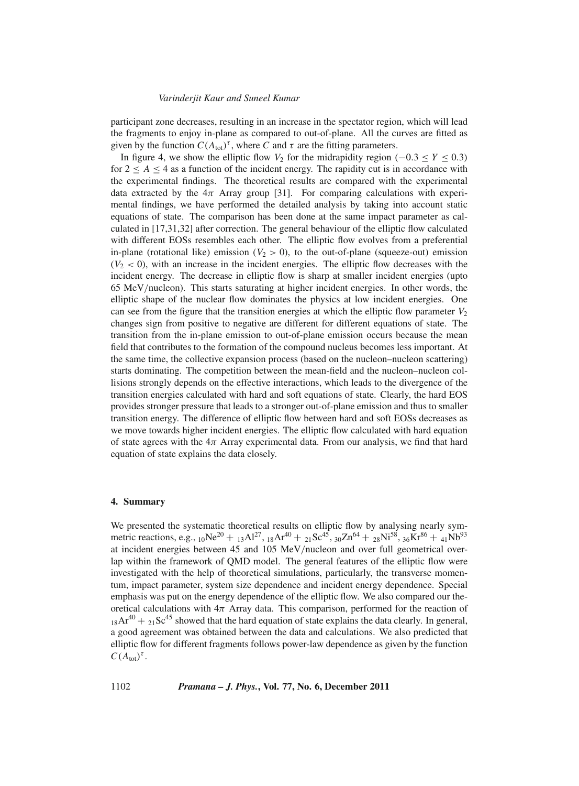participant zone decreases, resulting in an increase in the spectator region, which will lead the fragments to enjoy in-plane as compared to out-of-plane. All the curves are fitted as given by the function  $C(A_{\text{tot}})^{\tau}$ , where *C* and  $\tau$  are the fitting parameters.

In figure 4, we show the elliptic flow  $V_2$  for the midrapidity region ( $-0.3 \le Y \le 0.3$ ) for  $2 \leq A \leq 4$  as a function of the incident energy. The rapidity cut is in accordance with the experimental findings. The theoretical results are compared with the experimental data extracted by the  $4\pi$  Array group [31]. For comparing calculations with experimental findings, we have performed the detailed analysis by taking into account static equations of state. The comparison has been done at the same impact parameter as calculated in [17,31,32] after correction. The general behaviour of the elliptic flow calculated with different EOSs resembles each other. The elliptic flow evolves from a preferential in-plane (rotational like) emission  $(V_2 > 0)$ , to the out-of-plane (squeeze-out) emission  $(V_2 < 0)$ , with an increase in the incident energies. The elliptic flow decreases with the incident energy. The decrease in elliptic flow is sharp at smaller incident energies (upto 65 MeV/nucleon). This starts saturating at higher incident energies. In other words, the elliptic shape of the nuclear flow dominates the physics at low incident energies. One can see from the figure that the transition energies at which the elliptic flow parameter  $V_2$ changes sign from positive to negative are different for different equations of state. The transition from the in-plane emission to out-of-plane emission occurs because the mean field that contributes to the formation of the compound nucleus becomes less important. At the same time, the collective expansion process (based on the nucleon–nucleon scattering) starts dominating. The competition between the mean-field and the nucleon–nucleon collisions strongly depends on the effective interactions, which leads to the divergence of the transition energies calculated with hard and soft equations of state. Clearly, the hard EOS provides stronger pressure that leads to a stronger out-of-plane emission and thus to smaller transition energy. The difference of elliptic flow between hard and soft EOSs decreases as we move towards higher incident energies. The elliptic flow calculated with hard equation of state agrees with the  $4\pi$  Array experimental data. From our analysis, we find that hard equation of state explains the data closely.

# **4. Summary**

We presented the systematic theoretical results on elliptic flow by analysing nearly symmetric reactions, e.g.,  $_{10}Ne^{20} + _{13}Al^{27}$ ,  $_{18}Ar^{40} + _{21}Sc^{45}$ ,  $_{30}Zn^{64} + _{28}Ni^{58}$ ,  $_{36}Kr^{86} + _{41}Nb^{93}$ at incident energies between 45 and 105 MeV/nucleon and over full geometrical overlap within the framework of QMD model. The general features of the elliptic flow were investigated with the help of theoretical simulations, particularly, the transverse momentum, impact parameter, system size dependence and incident energy dependence. Special emphasis was put on the energy dependence of the elliptic flow. We also compared our theoretical calculations with  $4\pi$  Array data. This comparison, performed for the reaction of  $18Ar^{40} + 21Sc^{45}$  showed that the hard equation of state explains the data clearly. In general, a good agreement was obtained between the data and calculations. We also predicted that elliptic flow for different fragments follows power-law dependence as given by the function  $C(A_{\text{tot}})^{\tau}$ .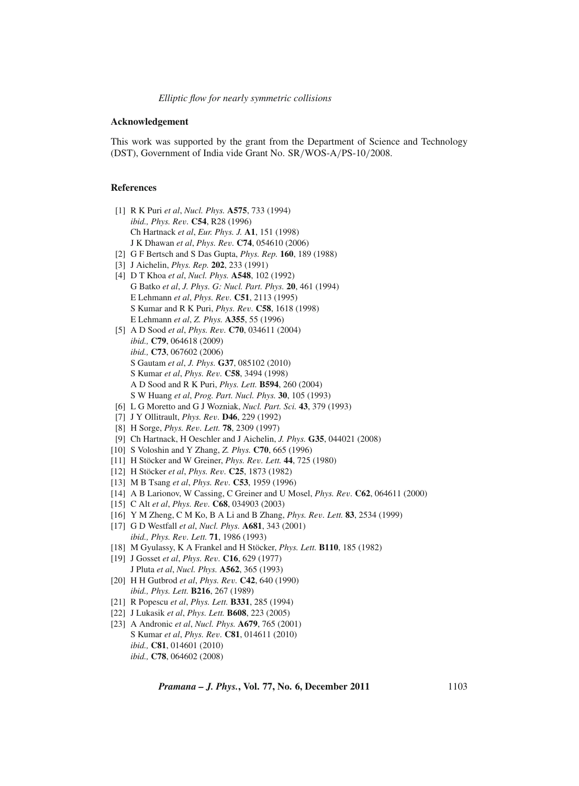#### *Elliptic flow for nearly symmetric collisions*

## **Acknowledgement**

This work was supported by the grant from the Department of Science and Technology (DST), Government of India vide Grant No. SR/WOS-A/PS-10/2008.

## **References**

- [1] R K Puri *et al*, *Nucl. Phys.* **A575**, 733 (1994) *ibid., Phys. Re*v*.* **C54**, R28 (1996) Ch Hartnack *et al*, *Eur. Phys. J.* **A1**, 151 (1998) J K Dhawan *et al*, *Phys. Re*v*.* **C74**, 054610 (2006)
- [2] G F Bertsch and S Das Gupta, *Phys. Rep.* **160**, 189 (1988)
- [3] J Aichelin, *Phys. Rep.* **202**, 233 (1991)
- [4] D T Khoa *et al*, *Nucl. Phys.* **A548**, 102 (1992) G Batko *et al*, *J. Phys. G: Nucl. Part. Phys.* **20**, 461 (1994) E Lehmann *et al*, *Phys. Re*v*.* **C51**, 2113 (1995) S Kumar and R K Puri, *Phys. Re*v*.* **C58**, 1618 (1998) E Lehmann *et al*, *Z. Phys.* **A355**, 55 (1996)
- [5] A D Sood *et al*, *Phys. Re*v*.* **C70**, 034611 (2004) *ibid.,* **C79**, 064618 (2009) *ibid.,* **C73**, 067602 (2006) S Gautam *et al*, *J. Phys.* **G37**, 085102 (2010) S Kumar *et al*, *Phys. Re*v*.* **C58**, 3494 (1998) A D Sood and R K Puri, *Phys. Lett.* **B594**, 260 (2004) S W Huang *et al*, *Prog. Part. Nucl. Phys.* **30**, 105 (1993)
- [6] L G Moretto and G J Wozniak, *Nucl. Part. Sci.* **43**, 379 (1993)
- [7] J Y Ollitrault, *Phys. Re*v*.* **D46**, 229 (1992)
- [8] H Sorge, *Phys. Re*v*. Lett.* **78**, 2309 (1997)
- [9] Ch Hartnack, H Oeschler and J Aichelin, *J. Phys.* **G35**, 044021 (2008)
- [10] S Voloshin and Y Zhang, *Z. Phys.* **C70**, 665 (1996)
- [11] H Stöcker and W Greiner, *Phys. Re*v*. Lett.* **44**, 725 (1980)
- [12] H Stöcker *et al*, *Phys. Re*v*.* **C25**, 1873 (1982)
- [13] M B Tsang *et al*, *Phys. Re*v*.* **C53**, 1959 (1996)
- [14] A B Larionov, W Cassing, C Greiner and U Mosel, *Phys. Re*v*.* **C62**, 064611 (2000)
- [15] C Alt *et al*, *Phys. Re*v*.* **C68**, 034903 (2003)
- [16] Y M Zheng, C M Ko, B A Li and B Zhang, *Phys. Re*v*. Lett.* **83**, 2534 (1999)
- [17] G D Westfall *et al*, *Nucl. Phys.* **A681**, 343 (2001) *ibid., Phys. Re*v*. Lett.* **71**, 1986 (1993)
- [18] M Gyulassy, K A Frankel and H Stöcker, *Phys. Lett.* **B110**, 185 (1982)
- [19] J Gosset *et al*, *Phys. Re*v*.* **C16**, 629 (1977) J Pluta *et al*, *Nucl. Phys.* **A562**, 365 (1993)
- [20] H H Gutbrod *et al*, *Phys. Re*v*.* **C42**, 640 (1990) *ibid., Phys. Lett.* **B216**, 267 (1989)
- [21] R Popescu *et al*, *Phys. Lett.* **B331**, 285 (1994)
- [22] J Lukasik *et al*, *Phys. Lett.* **B608**, 223 (2005)
- [23] A Andronic *et al*, *Nucl. Phys.* **A679**, 765 (2001) S Kumar *et al*, *Phys. Re*v*.* **C81**, 014611 (2010) *ibid.,* **C81**, 014601 (2010) *ibid.,* **C78**, 064602 (2008)